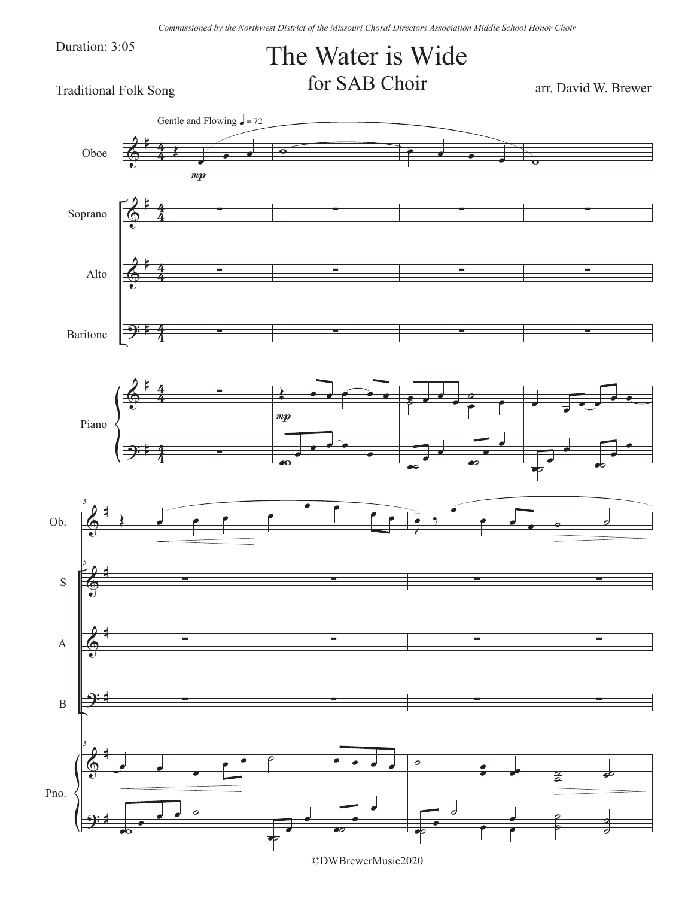Duration: 3:05

## The Water is Wide for SAB Choir arr. David W. Brewer

Traditional Folk Song



©DWBrewerMusic2020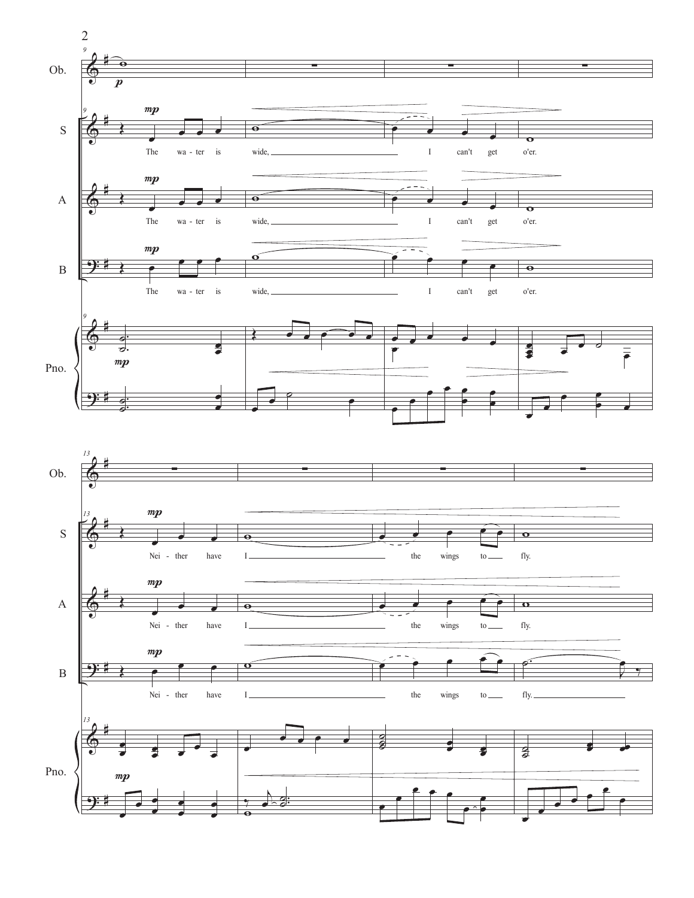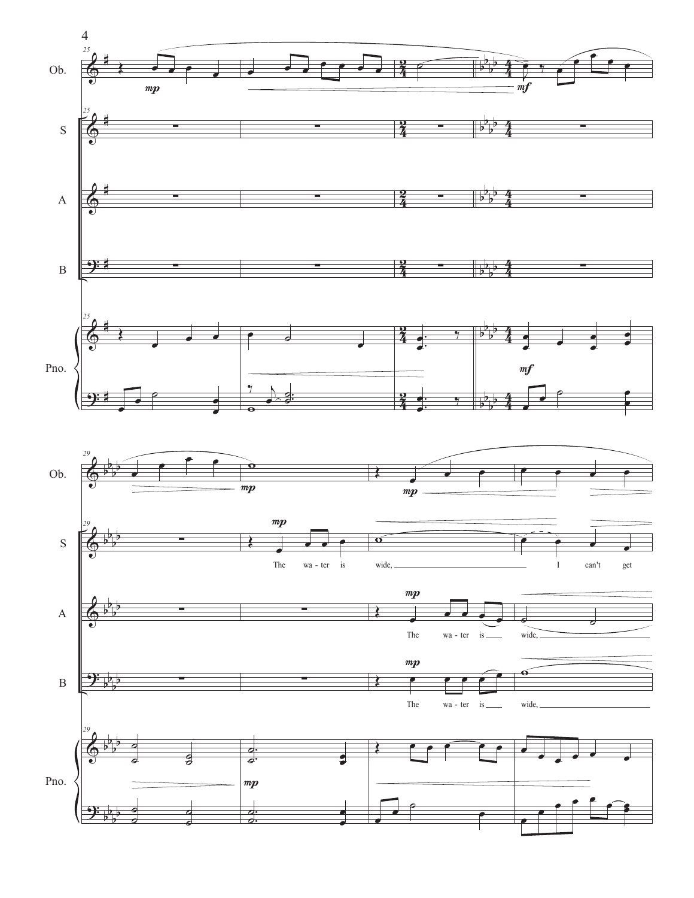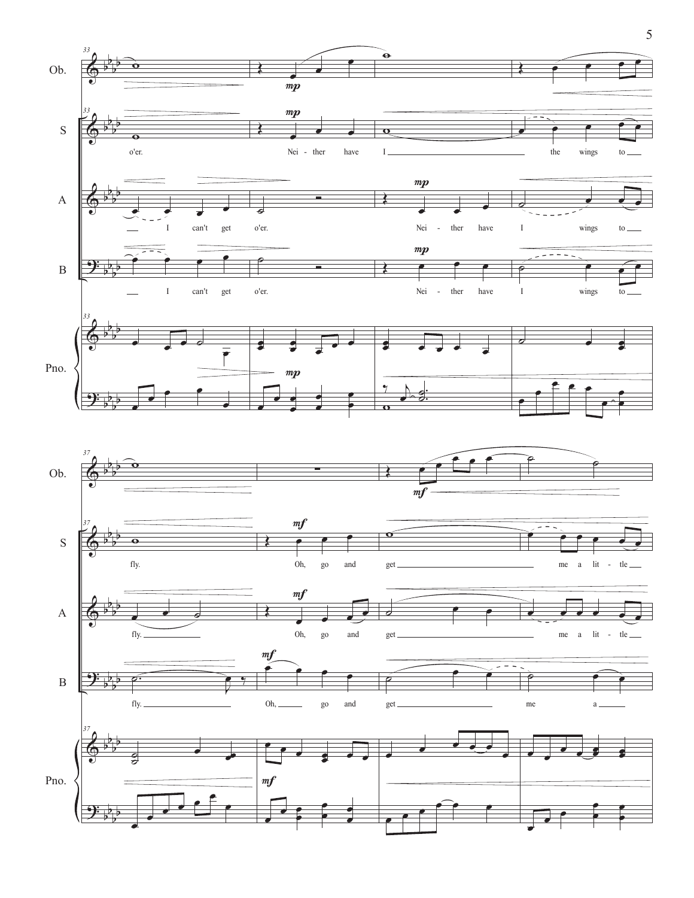

5